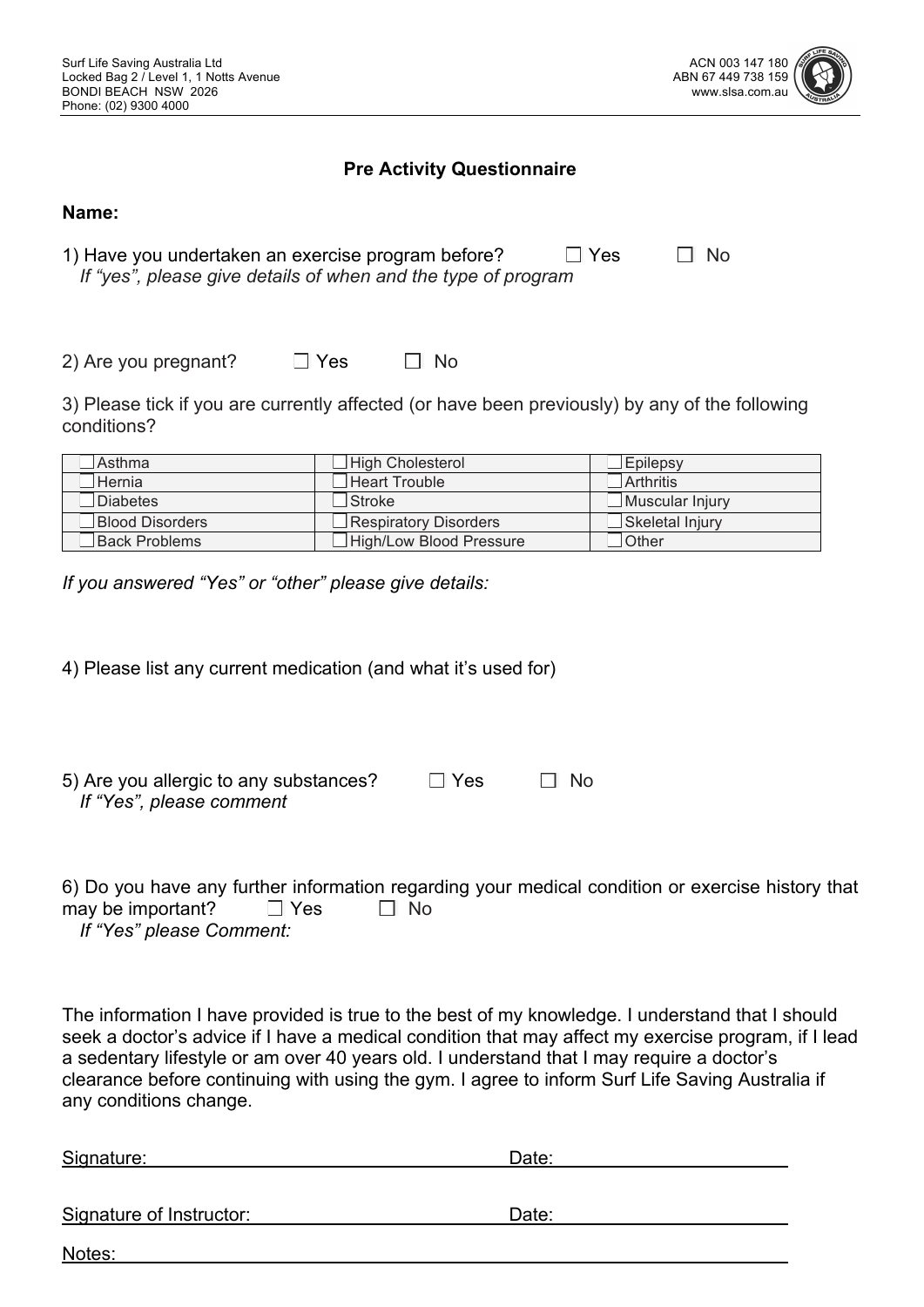

#### **Pre Activity Questionnaire**

| 1) Have you undertaken an exercise program before?            | $\Box$ Yes | <b>TI</b> No |
|---------------------------------------------------------------|------------|--------------|
| If "yes", please give details of when and the type of program |            |              |

2) Are you pregnant?  $\Box$  Yes  $\Box$  No

3) Please tick if you are currently affected (or have been previously) by any of the following conditions?

| <b>Asthma</b>   | $\Box$ High Cholesterol | $\Box$ Epilepsy |
|-----------------|-------------------------|-----------------|
| <b>Hernia</b>   | $\Box$ Heart Trouble    | Arthritis       |
| $\Box$ Diabetes | <b>Stroke</b>           | Muscular Injury |
| Blood Disorders | Respiratory Disorders   | Skeletal Injury |
| Back Problems   | High/Low Blood Pressure | ∟Other          |

*If you answered "Yes" or "other" please give details:* 

4) Please list any current medication (and what it's used for)

| 5) Are you allergic to any substances? | $\Box$ Yes | $\Box$ No |
|----------------------------------------|------------|-----------|
| If "Yes", please comment               |            |           |

6) Do you have any further information regarding your medical condition or exercise history that may be important?  $\Box$  Yes  $\Box$  No *If "Yes" please Comment:* 

The information I have provided is true to the best of my knowledge. I understand that I should seek a doctor's advice if I have a medical condition that may affect my exercise program, if I lead a sedentary lifestyle or am over 40 years old. I understand that I may require a doctor's clearance before continuing with using the gym. I agree to inform Surf Life Saving Australia if any conditions change.

| Signature:               | Date: |
|--------------------------|-------|
| Signature of Instructor: | Date: |
| Notes:                   |       |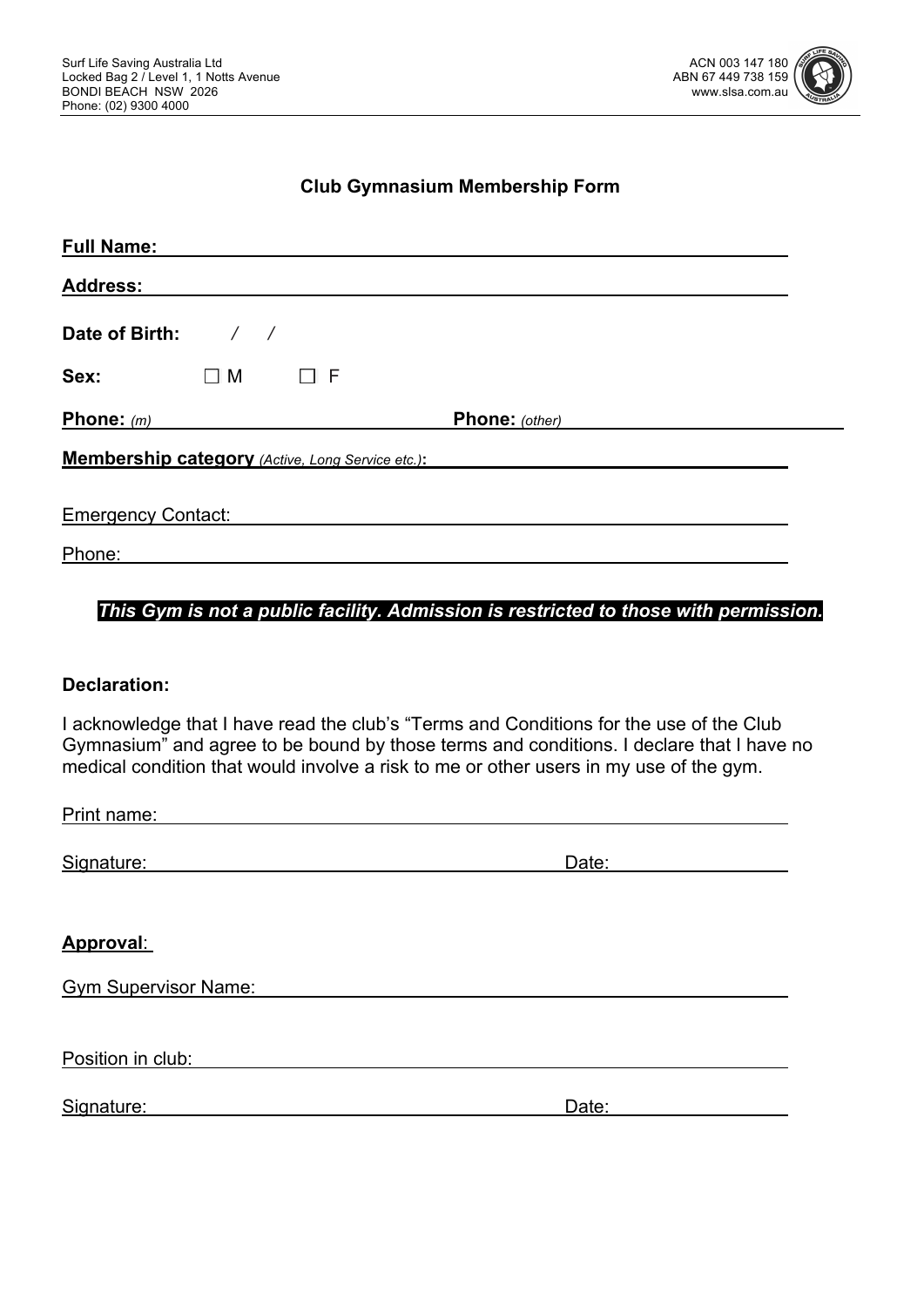

#### **Club Gymnasium Membership Form**

| <b>Full Name:</b>                                |                  |          |                |  |
|--------------------------------------------------|------------------|----------|----------------|--|
| <b>Address:</b>                                  |                  |          |                |  |
| Date of Birth:                                   | $\left/ \right/$ |          |                |  |
| Sex:                                             | $\Box$ M         | $\Box$ F |                |  |
| Phone: $(m)$                                     |                  |          | Phone: (other) |  |
| Membership category (Active, Long Service etc.): |                  |          |                |  |
| <b>Emergency Contact:</b>                        |                  |          |                |  |
| Phone:                                           |                  |          |                |  |

#### *This Gym is not a public facility. Admission is restricted to those with permission.*

#### **Declaration:**

I acknowledge that I have read the club's "Terms and Conditions for the use of the Club Gymnasium" and agree to be bound by those terms and conditions. I declare that I have no medical condition that would involve a risk to me or other users in my use of the gym.

| Print name: |  |  |  |
|-------------|--|--|--|
|             |  |  |  |

Signature: Date: Date: Date: Date: Date: Date: Date: Date: Date: Date: Date: Date: Date: Date: Date: Date: Date: Date:  $\sim$  Date:  $\sim$  Date:  $\sim$  Date:  $\sim$  Date:  $\sim$  Date:  $\sim$  Date:  $\sim$  Date:  $\sim$  Date:  $\sim$  Date:  $\sim$ 

#### **Approval**:

Gym Supervisor Name:

Position in club:

Signature: Date: Date: Date: Date: Date: Date: Date: Date: Date: Date: Date: Date: Date: Date: Date: Date: Date:  $\sim$  Date:  $\sim$  0.075  $\sim$  0.075  $\sim$  0.075  $\sim$  0.075  $\sim$  0.075  $\sim$  0.075  $\sim$  0.075  $\sim$  0.075  $\sim$  0.075

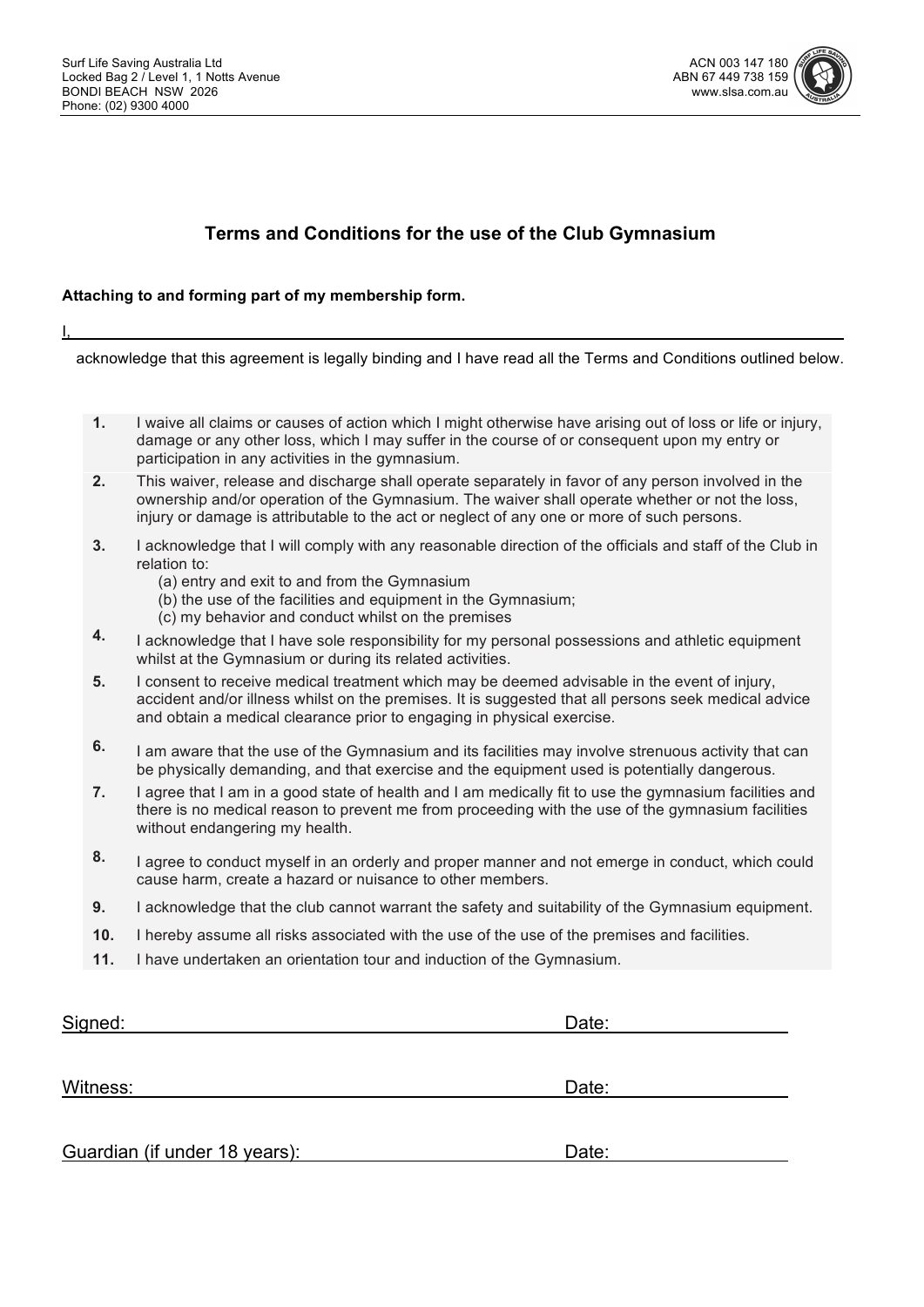

## **Terms and Conditions for the use of the Club Gymnasium**

#### **Attaching to and forming part of my membership form.**

I,

acknowledge that this agreement is legally binding and I have read all the Terms and Conditions outlined below.

- **1.** I waive all claims or causes of action which I might otherwise have arising out of loss or life or injury, damage or any other loss, which I may suffer in the course of or consequent upon my entry or participation in any activities in the gymnasium.
- **2.** This waiver, release and discharge shall operate separately in favor of any person involved in the ownership and/or operation of the Gymnasium. The waiver shall operate whether or not the loss, injury or damage is attributable to the act or neglect of any one or more of such persons.
- **3.** I acknowledge that I will comply with any reasonable direction of the officials and staff of the Club in relation to:
	- (a) entry and exit to and from the Gymnasium
	- (b) the use of the facilities and equipment in the Gymnasium;
		- (c) my behavior and conduct whilst on the premises
- **4.** I acknowledge that I have sole responsibility for my personal possessions and athletic equipment whilst at the Gymnasium or during its related activities.
- **5.** I consent to receive medical treatment which may be deemed advisable in the event of injury, accident and/or illness whilst on the premises. It is suggested that all persons seek medical advice and obtain a medical clearance prior to engaging in physical exercise.
- **6.** I am aware that the use of the Gymnasium and its facilities may involve strenuous activity that can be physically demanding, and that exercise and the equipment used is potentially dangerous.
- **7.** I agree that I am in a good state of health and I am medically fit to use the gymnasium facilities and there is no medical reason to prevent me from proceeding with the use of the gymnasium facilities without endangering my health.
- **8.** I agree to conduct myself in an orderly and proper manner and not emerge in conduct, which could cause harm, create a hazard or nuisance to other members.
- **9.** I acknowledge that the club cannot warrant the safety and suitability of the Gymnasium equipment.
- **10.** I hereby assume all risks associated with the use of the use of the premises and facilities.
- **11.** I have undertaken an orientation tour and induction of the Gymnasium.

| Signed:                       | Date: |  |
|-------------------------------|-------|--|
|                               |       |  |
| Witness:                      | Date: |  |
| Guardian (if under 18 years): | Date: |  |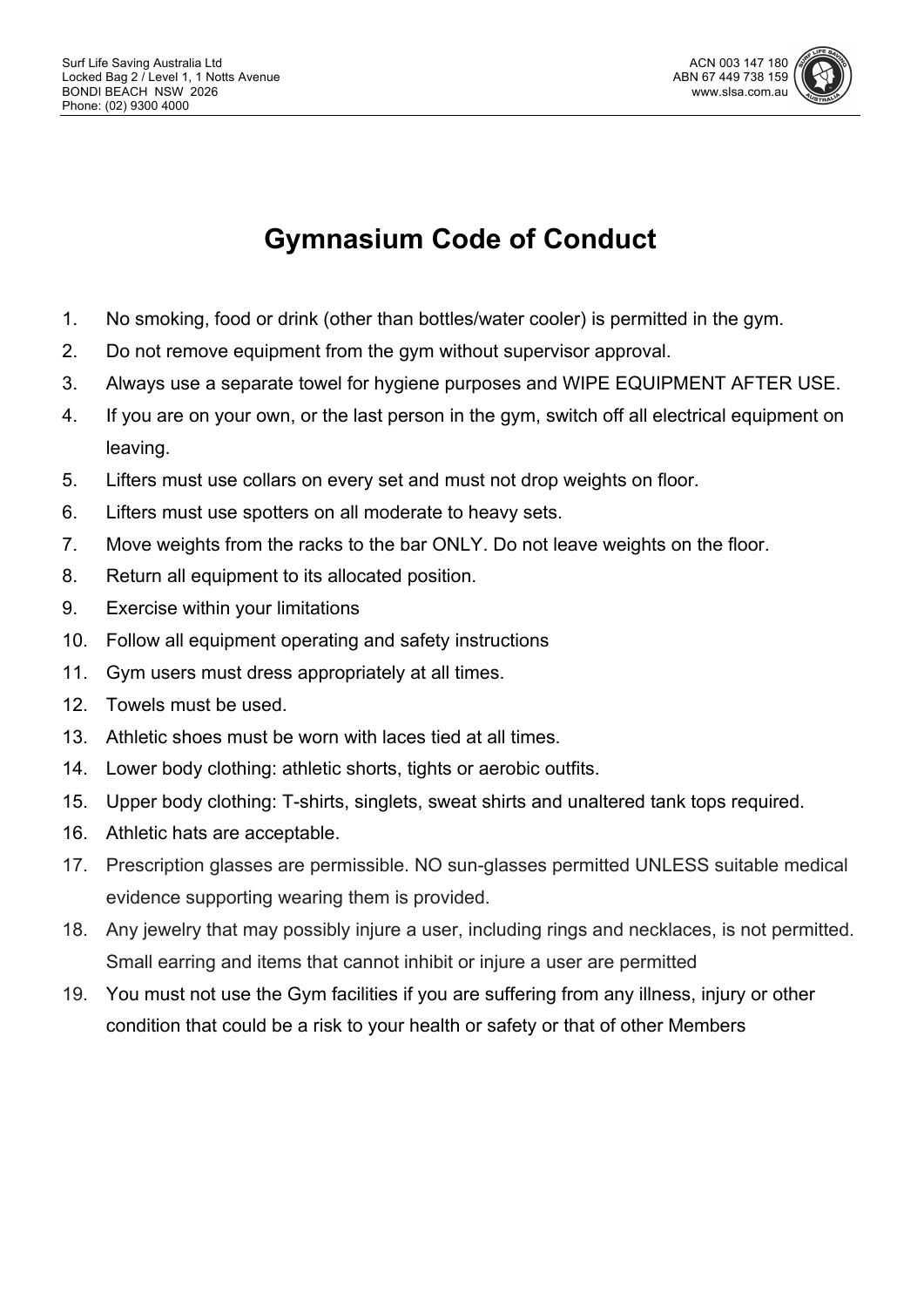

# **Gymnasium Code of Conduct**

- 1. No smoking, food or drink (other than bottles/water cooler) is permitted in the gym.
- 2. Do not remove equipment from the gym without supervisor approval.
- 3. Always use a separate towel for hygiene purposes and WIPE EQUIPMENT AFTER USE.
- 4. If you are on your own, or the last person in the gym, switch off all electrical equipment on leaving.
- 5. Lifters must use collars on every set and must not drop weights on floor.
- 6. Lifters must use spotters on all moderate to heavy sets.
- 7. Move weights from the racks to the bar ONLY. Do not leave weights on the floor.
- 8. Return all equipment to its allocated position.
- 9. Exercise within your limitations
- 10. Follow all equipment operating and safety instructions
- 11. Gym users must dress appropriately at all times.
- 12. Towels must be used.
- 13. Athletic shoes must be worn with laces tied at all times.
- 14. Lower body clothing: athletic shorts, tights or aerobic outfits.
- 15. Upper body clothing: T-shirts, singlets, sweat shirts and unaltered tank tops required.
- 16. Athletic hats are acceptable.
- 17. Prescription glasses are permissible. NO sun-glasses permitted UNLESS suitable medical evidence supporting wearing them is provided.
- 18. Any jewelry that may possibly injure a user, including rings and necklaces, is not permitted. Small earring and items that cannot inhibit or injure a user are permitted
- 19. You must not use the Gym facilities if you are suffering from any illness, injury or other condition that could be a risk to your health or safety or that of other Members